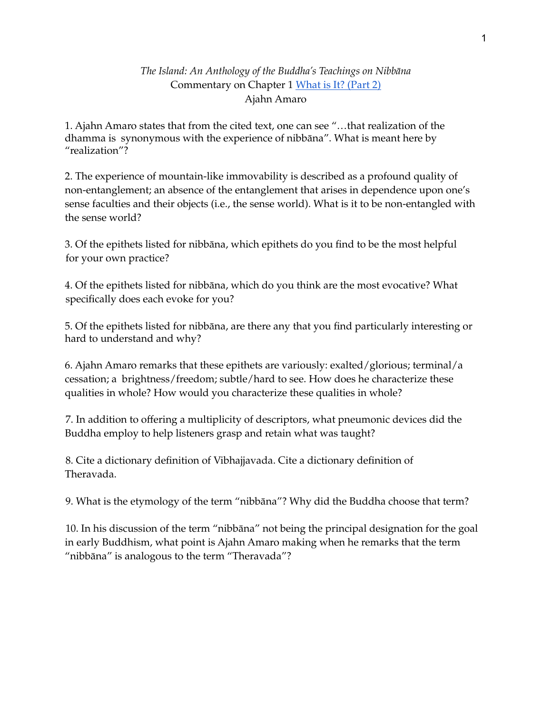## *The Island: An Anthology of the Buddha's Teachings on Nibbāna* Commentary on Chapter 1 [What](https://amaravati.org/audio/chapter-1-part-2/) is It? (Part 2) Ajahn Amaro

1. Ajahn Amaro states that from the cited text, one can see "…that realization of the dhamma is synonymous with the experience of nibbāna". What is meant here by "realization"?

2. The experience of mountain-like immovability is described as a profound quality of non-entanglement; an absence of the entanglement that arises in dependence upon one's sense faculties and their objects (i.e., the sense world). What is it to be non-entangled with the sense world?

3. Of the epithets listed for nibbāna, which epithets do you find to be the most helpful for your own practice?

4. Of the epithets listed for nibbāna, which do you think are the most evocative? What specifically does each evoke for you?

5. Of the epithets listed for nibbāna, are there any that you find particularly interesting or hard to understand and why?

6. Ajahn Amaro remarks that these epithets are variously: exalted/glorious; terminal/a cessation; a brightness/freedom; subtle/hard to see. How does he characterize these qualities in whole? How would you characterize these qualities in whole?

7. In addition to offering a multiplicity of descriptors, what pneumonic devices did the Buddha employ to help listeners grasp and retain what was taught?

8. Cite a dictionary definition of Vibhajjavada. Cite a dictionary definition of Theravada.

9. What is the etymology of the term "nibbāna"? Why did the Buddha choose that term?

10. In his discussion of the term "nibbāna" not being the principal designation for the goal in early Buddhism, what point is Ajahn Amaro making when he remarks that the term "nibbāna" is analogous to the term "Theravada"?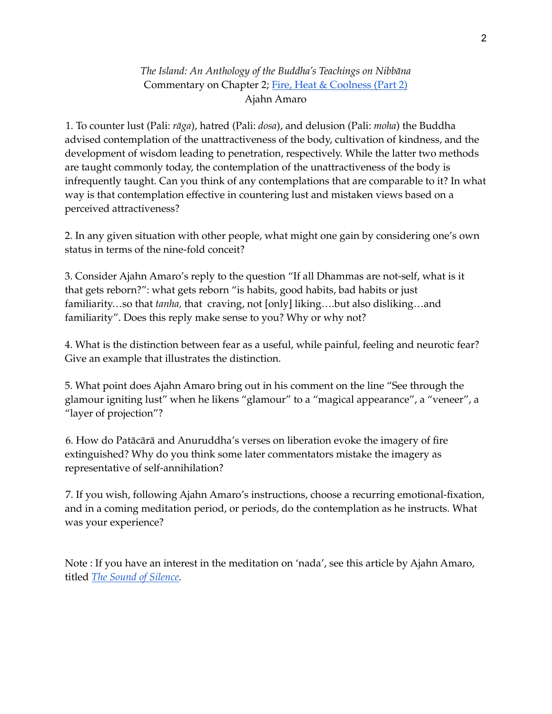*The Island: An Anthology of the Buddha's Teachings on Nibbāna* Commentary on Chapter 2; Fire, Heat & [Coolness](https://amaravati.org/audio/chapter-2-fire-heat-coolness-part-2/) (Part 2) Ajahn Amaro

1. To counter lust (Pali: *rāga*), hatred (Pali: *dosa*), and delusion (Pali: *moha*) the Buddha advised contemplation of the unattractiveness of the body, cultivation of kindness, and the development of wisdom leading to penetration, respectively. While the latter two methods are taught commonly today, the contemplation of the unattractiveness of the body is infrequently taught. Can you think of any contemplations that are comparable to it? In what way is that contemplation effective in countering lust and mistaken views based on a perceived attractiveness?

2. In any given situation with other people, what might one gain by considering one's own status in terms of the nine-fold conceit?

3. Consider Ajahn Amaro's reply to the question "If all Dhammas are not-self, what is it that gets reborn?": what gets reborn "is habits, good habits, bad habits or just familiarity…so that *tanha,* that craving, not [only] liking….but also disliking…and familiarity". Does this reply make sense to you? Why or why not?

4. What is the distinction between fear as a useful, while painful, feeling and neurotic fear? Give an example that illustrates the distinction.

5. What point does Ajahn Amaro bring out in his comment on the line "See through the glamour igniting lust" when he likens "glamour" to a "magical appearance", a "veneer", a "layer of projection"?

6. How do Patācārā and Anuruddha's verses on liberation evoke the imagery of fire extinguished? Why do you think some later commentators mistake the imagery as representative of self-annihilation?

7. If you wish, following Ajahn Amaro's instructions, choose a recurring emotional-fixation, and in a coming meditation period, or periods, do the contemplation as he instructs. What was your experience?

Note : If you have an interest in the meditation on 'nada', see this article by Ajahn Amaro, titled *The Sound of [Silence.](https://www.lionsroar.com/the-sound-of-silence/)*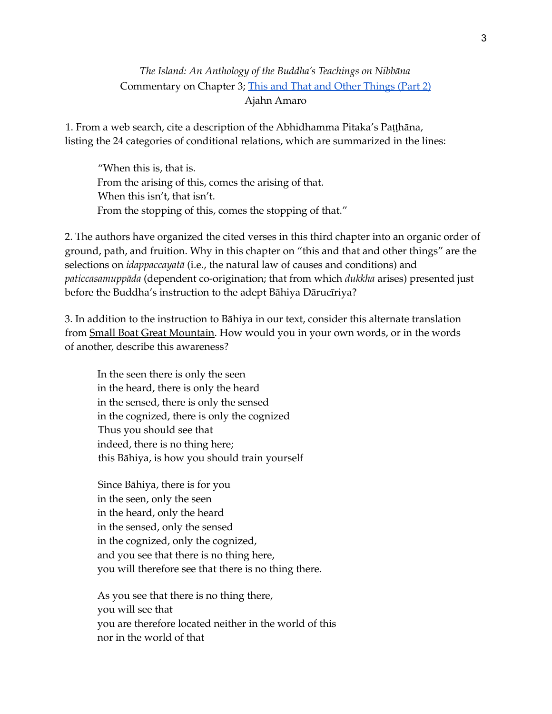# *The Island: An Anthology of the Buddha's Teachings on Nibbāna* Commentary on Chapter 3; This and That and Other [Things](https://amaravati.org/audio/chapter-3-things-part-2/) (Part 2) Ajahn Amaro

1. From a web search, cite a description of the Abhidhamma Pitaka's Paṭṭhāna, listing the 24 categories of conditional relations, which are summarized in the lines:

"When this is, that is. From the arising of this, comes the arising of that. When this isn't, that isn't. From the stopping of this, comes the stopping of that."

2. The authors have organized the cited verses in this third chapter into an organic order of ground, path, and fruition. Why in this chapter on "this and that and other things" are the selections on *idappaccayatā* (i.e., the natural law of causes and conditions) and *paticcasamuppāda* (dependent co-origination; that from which *dukkha* arises) presented just before the Buddha's instruction to the adept Bāhiya Dārucīriya?

3. In addition to the instruction to Bāhiya in our text, consider this alternate translation from Small Boat Great Mountain. How would you in your own words, or in the words of another, describe this awareness?

In the seen there is only the seen in the heard, there is only the heard in the sensed, there is only the sensed in the cognized, there is only the cognized Thus you should see that indeed, there is no thing here; this Bāhiya, is how you should train yourself

Since Bāhiya, there is for you in the seen, only the seen in the heard, only the heard in the sensed, only the sensed in the cognized, only the cognized, and you see that there is no thing here, you will therefore see that there is no thing there.

As you see that there is no thing there, you will see that you are therefore located neither in the world of this nor in the world of that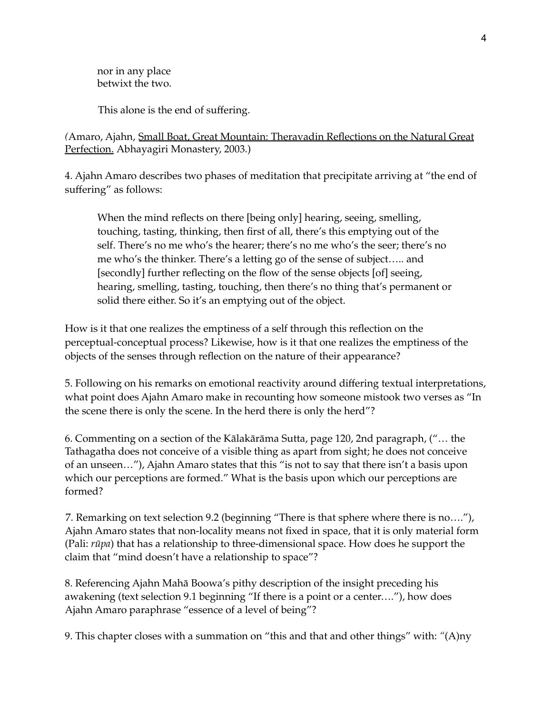nor in any place betwixt the two.

This alone is the end of suffering.

*(*Amaro, Ajahn, Small Boat, Great Mountain: Theravadin Reflections on the Natural Great Perfection. Abhayagiri Monastery, 2003.)

4. Ajahn Amaro describes two phases of meditation that precipitate arriving at "the end of suffering" as follows:

When the mind reflects on there [being only] hearing, seeing, smelling, touching, tasting, thinking, then first of all, there's this emptying out of the self. There's no me who's the hearer; there's no me who's the seer; there's no me who's the thinker. There's a letting go of the sense of subject….. and [secondly] further reflecting on the flow of the sense objects [of] seeing, hearing, smelling, tasting, touching, then there's no thing that's permanent or solid there either. So it's an emptying out of the object.

How is it that one realizes the emptiness of a self through this reflection on the perceptual-conceptual process? Likewise, how is it that one realizes the emptiness of the objects of the senses through reflection on the nature of their appearance?

5. Following on his remarks on emotional reactivity around differing textual interpretations, what point does Ajahn Amaro make in recounting how someone mistook two verses as "In the scene there is only the scene. In the herd there is only the herd"?

6. Commenting on a section of the Kālakārāma Sutta, page 120, 2nd paragraph, ("… the Tathagatha does not conceive of a visible thing as apart from sight; he does not conceive of an unseen…"), Ajahn Amaro states that this "is not to say that there isn't a basis upon which our perceptions are formed." What is the basis upon which our perceptions are formed?

7. Remarking on text selection 9.2 (beginning "There is that sphere where there is no…."), Ajahn Amaro states that non-locality means not fixed in space, that it is only material form (Pali: *rūpa*) that has a relationship to three-dimensional space. How does he support the claim that "mind doesn't have a relationship to space"?

8. Referencing Ajahn Mahā Boowa's pithy description of the insight preceding his awakening (text selection 9.1 beginning "If there is a point or a center…."), how does Ajahn Amaro paraphrase "essence of a level of being"?

9. This chapter closes with a summation on "this and that and other things" with: *"*(A)ny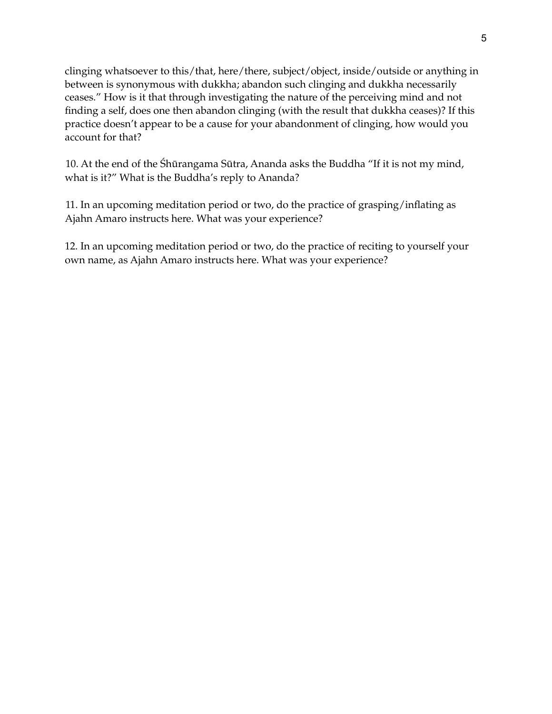clinging whatsoever to this/that, here/there, subject/object, inside/outside or anything in between is synonymous with dukkha; abandon such clinging and dukkha necessarily ceases." How is it that through investigating the nature of the perceiving mind and not finding a self, does one then abandon clinging (with the result that dukkha ceases)? If this practice doesn't appear to be a cause for your abandonment of clinging, how would you account for that?

10. At the end of the Śhūrangama Sūtra, Ananda asks the Buddha "If it is not my mind, what is it?" What is the Buddha's reply to Ananda?

11. In an upcoming meditation period or two, do the practice of grasping/inflating as Ajahn Amaro instructs here. What was your experience?

12. In an upcoming meditation period or two, do the practice of reciting to yourself your own name, as Ajahn Amaro instructs here. What was your experience?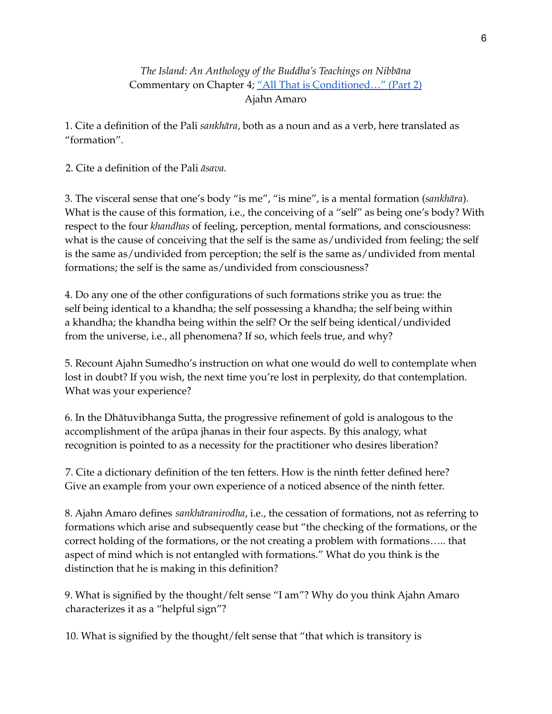# *The Island: An Anthology of the Buddha's Teachings on Nibbāna* Commentary on Chapter 4; "All That is Conditioned..." (Part 2) Ajahn Amaro

1. Cite a definition of the Pali *sankhāra*, both as a noun and as a verb, here translated as "formation".

2. Cite a definition of the Pali *āsava.*

3. The visceral sense that one's body "is me", "is mine", is a mental formation (*sankhāra*). What is the cause of this formation, i.e., the conceiving of a "self" as being one's body? With respect to the four *khandhas* of feeling, perception, mental formations, and consciousness: what is the cause of conceiving that the self is the same as/undivided from feeling; the self is the same as/undivided from perception; the self is the same as/undivided from mental formations; the self is the same as/undivided from consciousness?

4. Do any one of the other configurations of such formations strike you as true: the self being identical to a khandha; the self possessing a khandha; the self being within a khandha; the khandha being within the self? Or the self being identical/undivided from the universe, i.e., all phenomena? If so, which feels true, and why?

5. Recount Ajahn Sumedho's instruction on what one would do well to contemplate when lost in doubt? If you wish, the next time you're lost in perplexity, do that contemplation. What was your experience?

6. In the Dhātuvibhanga Sutta, the progressive refinement of gold is analogous to the accomplishment of the arūpa jhanas in their four aspects. By this analogy, what recognition is pointed to as a necessity for the practitioner who desires liberation?

7. Cite a dictionary definition of the ten fetters. How is the ninth fetter defined here? Give an example from your own experience of a noticed absence of the ninth fetter.

8. Ajahn Amaro defines *sankhāranirodha*, i.e., the cessation of formations, not as referring to formations which arise and subsequently cease but "the checking of the formations, or the correct holding of the formations, or the not creating a problem with formations….. that aspect of mind which is not entangled with formations." What do you think is the distinction that he is making in this definition?

9. What is signified by the thought/felt sense "I am"? Why do you think Ajahn Amaro characterizes it as a "helpful sign"?

10. What is signified by the thought/felt sense that "that which is transitory is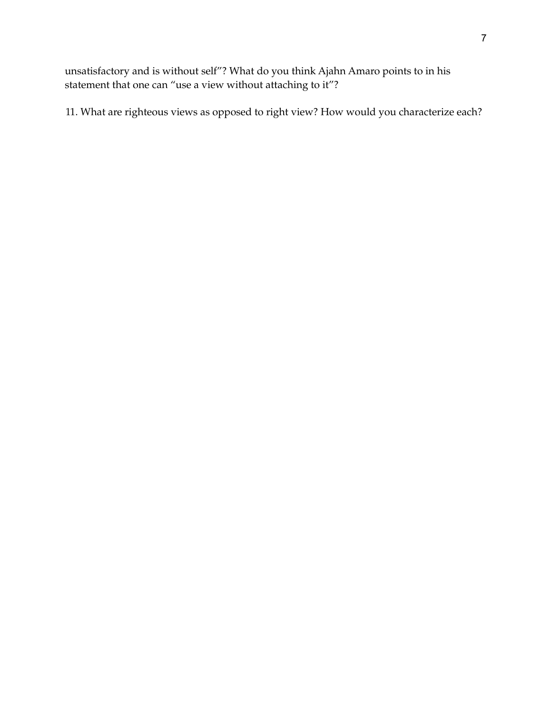unsatisfactory and is without self"? What do you think Ajahn Amaro points to in his statement that one can "use a view without attaching to it"?

11. What are righteous views as opposed to right view? How would you characterize each?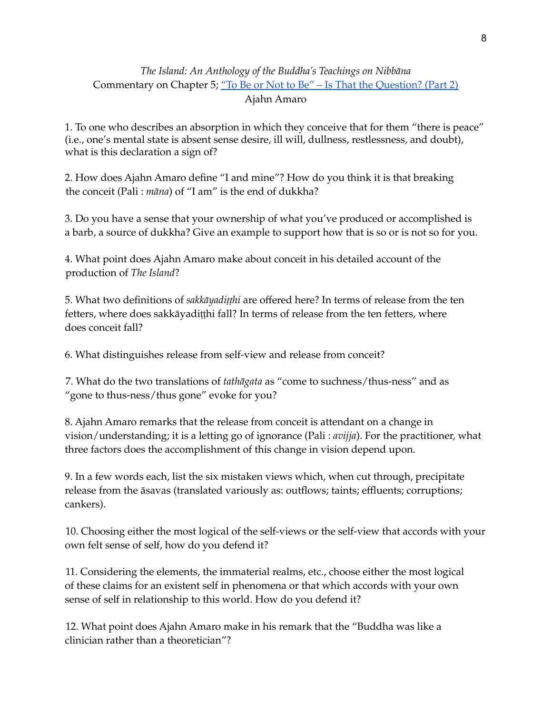# *The Island: An Anthology of the Buddha's Teachings on Nibbāna* Commentary on Chapter 5; "To Be or Not to Be" – Is That the [Question?](https://amaravati.org/audio/chapter-5-not-question-part-2/) (Part 2) Ajahn Amaro

1. To one who describes an absorption in which they conceive that for them "there is peace" (i.e., one's mental state is absent sense desire, ill will, dullness, restlessness, and doubt), what is this declaration a sign of?

2. How does Ajahn Amaro define "I and mine"? How do you think it is that breaking the conceit (Pali : *māna*) of "I am" is the end of dukkha?

3. Do you have a sense that your ownership of what you've produced or accomplished is a barb, a source of dukkha? Give an example to support how that is so or is not so for you.

4. What point does Ajahn Amaro make about conceit in his detailed account of the production of *The Island*?

5. What two definitions of *sakkāyadiṭṭhi* are offered here? In terms of release from the ten fetters, where does sakkāyadiṭṭhi fall? In terms of release from the ten fetters, where does conceit fall?

6. What distinguishes release from self-view and release from conceit?

7. What do the two translations of *tathāgata* as "come to suchness/thus-ness" and as "gone to thus-ness/thus gone" evoke for you?

8. Ajahn Amaro remarks that the release from conceit is attendant on a change in vision/understanding; it is a letting go of ignorance (Pali : *avijja*). For the practitioner, what three factors does the accomplishment of this change in vision depend upon.

9. In a few words each, list the six mistaken views which, when cut through, precipitate release from the āsavas (translated variously as: outflows; taints; effluents; corruptions; cankers).

10. Choosing either the most logical of the self-views or the self-view that accords with your own felt sense of self, how do you defend it?

11. Considering the elements, the immaterial realms, etc., choose either the most logical of these claims for an existent self in phenomena or that which accords with your own sense of self in relationship to this world. How do you defend it?

12. What point does Ajahn Amaro make in his remark that the "Buddha was like a clinician rather than a theoretician"?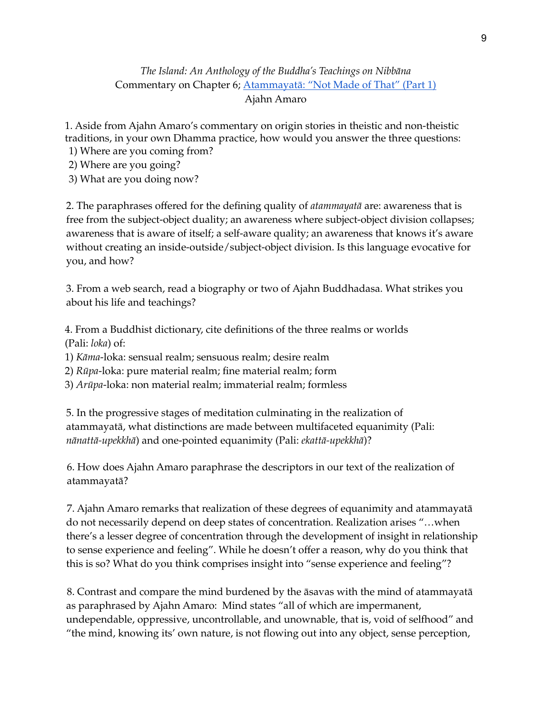# *The Island: An Anthology of the Buddha's Teachings on Nibbāna* Commentary on Chapter 6; [Atammayatā:](https://amaravati.org/audio/chapter-6-atammayata-not-made-part-1/) "Not Made of That" (Part 1) Ajahn Amaro

1. Aside from Ajahn Amaro's commentary on origin stories in theistic and non-theistic traditions, in your own Dhamma practice, how would you answer the three questions:

1) Where are you coming from?

2) Where are you going?

3) What are you doing now?

2. The paraphrases offered for the defining quality of *atammayatā* are: awareness that is free from the subject-object duality; an awareness where subject-object division collapses; awareness that is aware of itself; a self-aware quality; an awareness that knows it's aware without creating an inside-outside/subject-object division. Is this language evocative for you, and how?

3. From a web search, read a biography or two of Ajahn Buddhadasa. What strikes you about his life and teachings?

4. From a Buddhist dictionary, cite definitions of the three realms or worlds (Pali: *loka*) of:

1) *Kāma*-loka: sensual realm; sensuous realm; desire realm

2) *Rūpa*-loka: pure material realm; fine material realm; form

3) *Arūpa*-loka: non material realm; immaterial realm; formless

5. In the progressive stages of meditation culminating in the realization of atammayatā, what distinctions are made between multifaceted equanimity (Pali: *nānattā-upekkhā*) and one-pointed equanimity (Pali: *ekattā-upekkhā*)?

6. How does Ajahn Amaro paraphrase the descriptors in our text of the realization of atammayatā?

7. Ajahn Amaro remarks that realization of these degrees of equanimity and atammayatā do not necessarily depend on deep states of concentration. Realization arises "…when there's a lesser degree of concentration through the development of insight in relationship to sense experience and feeling". While he doesn't offer a reason, why do you think that this is so? What do you think comprises insight into "sense experience and feeling"?

8. Contrast and compare the mind burdened by the āsavas with the mind of atammayatā as paraphrased by Ajahn Amaro: Mind states "all of which are impermanent, undependable, oppressive, uncontrollable, and unownable, that is, void of selfhood" and "the mind, knowing its' own nature, is not flowing out into any object, sense perception,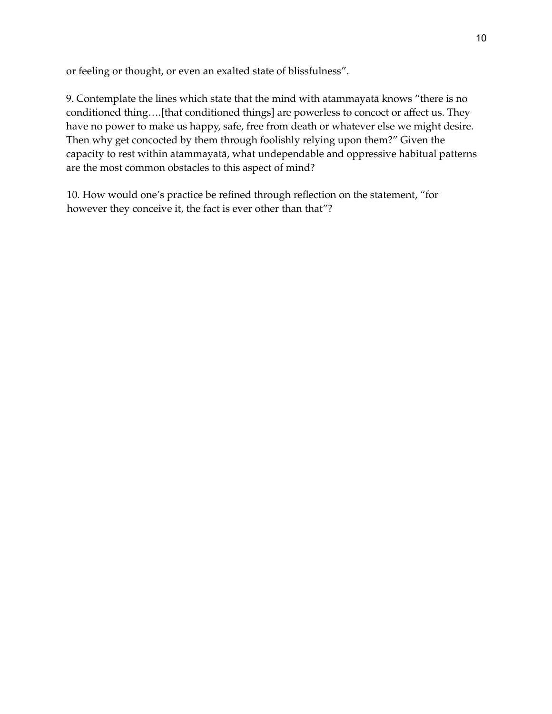or feeling or thought, or even an exalted state of blissfulness".

9. Contemplate the lines which state that the mind with atammayatā knows "there is no conditioned thing….[that conditioned things] are powerless to concoct or affect us. They have no power to make us happy, safe, free from death or whatever else we might desire. Then why get concocted by them through foolishly relying upon them?" Given the capacity to rest within atammayatā, what undependable and oppressive habitual patterns are the most common obstacles to this aspect of mind?

10. How would one's practice be refined through reflection on the statement, "for however they conceive it, the fact is ever other than that"?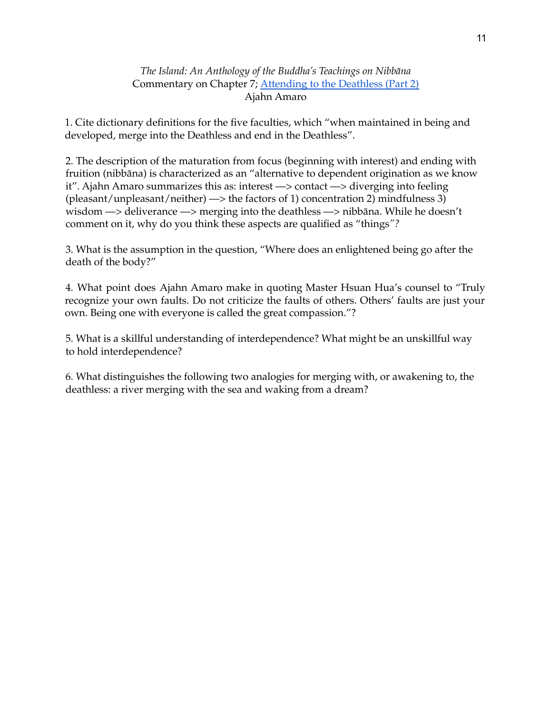#### *The Island: An Anthology of the Buddha's Teachings on Nibbāna* Commentary on Chapter 7; [Attending](https://amaravati.org/audio/chapter-7-attending-deathless-part-2/) to the Deathless (Part 2) Ajahn Amaro

1. Cite dictionary definitions for the five faculties, which "when maintained in being and developed, merge into the Deathless and end in the Deathless".

2. The description of the maturation from focus (beginning with interest) and ending with fruition (nibbāna) is characterized as an "alternative to dependent origination as we know it". Ajahn Amaro summarizes this as: interest —> contact —> diverging into feeling (pleasant/unpleasant/neither)  $\rightarrow$  the factors of 1) concentration 2) mindfulness 3) wisdom —> deliverance —> merging into the deathless —> nibbāna. While he doesn't comment on it, why do you think these aspects are qualified as "things*"?*

3. What is the assumption in the question, "Where does an enlightened being go after the death of the body?"

4. What point does Ajahn Amaro make in quoting Master Hsuan Hua's counsel to "Truly recognize your own faults. Do not criticize the faults of others. Others' faults are just your own. Being one with everyone is called the great compassion."?

5. What is a skillful understanding of interdependence? What might be an unskillful way to hold interdependence?

6. What distinguishes the following two analogies for merging with, or awakening to, the deathless: a river merging with the sea and waking from a dream?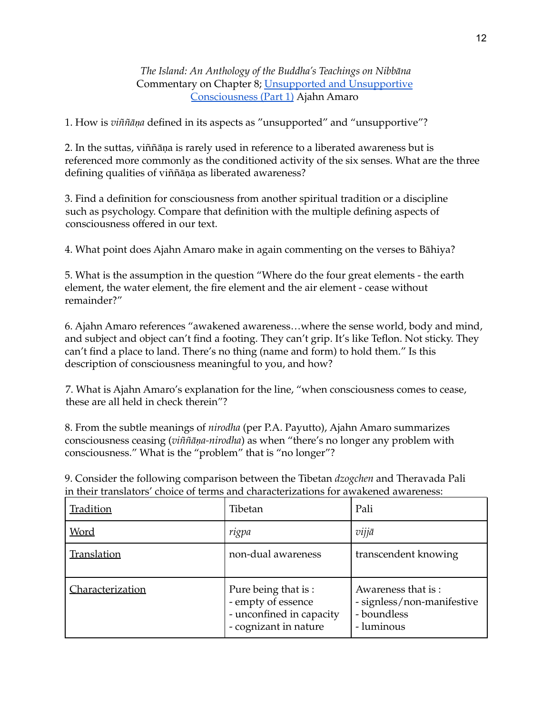*The Island: An Anthology of the Buddha's Teachings on Nibbāna* Commentary on Chapter 8; Unsupported and [Unsupportive](https://amaravati.org/audio/chapter-8-unsupported-unsupportive-consciousness-part-1/) [Consciousness](https://amaravati.org/audio/chapter-8-unsupported-unsupportive-consciousness-part-1/) (Part 1) Ajahn Amaro

1. How is *viññāṇa* defined in its aspects as "unsupported" and "unsupportive"?

2. In the suttas, viññāṇa is rarely used in reference to a liberated awareness but is referenced more commonly as the conditioned activity of the six senses. What are the three defining qualities of viññāṇa as liberated awareness?

3. Find a definition for consciousness from another spiritual tradition or a discipline such as psychology. Compare that definition with the multiple defining aspects of consciousness offered in our text.

4. What point does Ajahn Amaro make in again commenting on the verses to Bāhiya?

5. What is the assumption in the question "Where do the four great elements - the earth element, the water element, the fire element and the air element - cease without remainder?"

6. Ajahn Amaro references "awakened awareness…where the sense world, body and mind, and subject and object can't find a footing. They can't grip. It's like Teflon. Not sticky. They can't find a place to land. There's no thing (name and form) to hold them." Is this description of consciousness meaningful to you, and how?

7. What is Ajahn Amaro's explanation for the line, "when consciousness comes to cease, these are all held in check therein"?

8. From the subtle meanings of *nirodha* (per P.A. Payutto), Ajahn Amaro summarizes consciousness ceasing (*viññāṇa-nirodha*) as when "there's no longer any problem with consciousness." What is the "problem" that is "no longer"?

9. Consider the following comparison between the Tibetan *dzogchen* and Theravada Pali in their translators' choice of terms and characterizations for awakened awareness:

| Tradition        | Tibetan                                                                                        | Pali                                                                          |
|------------------|------------------------------------------------------------------------------------------------|-------------------------------------------------------------------------------|
| <u>Word</u>      | rigpa                                                                                          | vijjā                                                                         |
| Translation      | non-dual awareness                                                                             | transcendent knowing                                                          |
| Characterization | Pure being that is:<br>- empty of essence<br>- unconfined in capacity<br>- cognizant in nature | Awareness that is:<br>- signless/non-manifestive<br>- boundless<br>- luminous |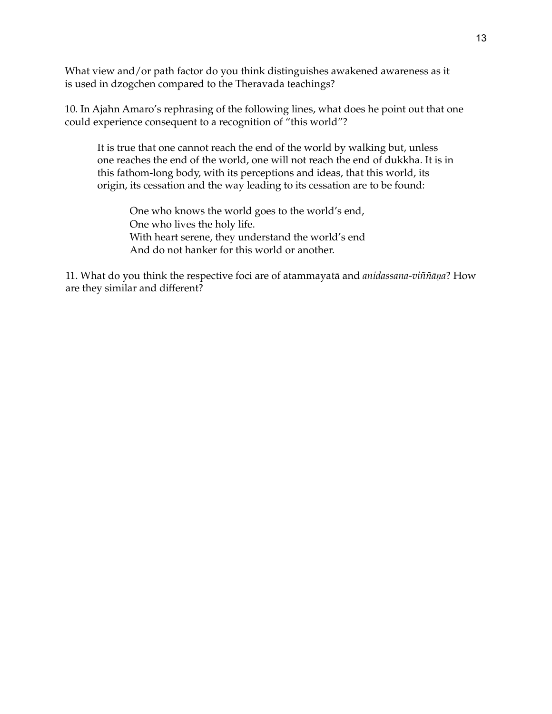What view and/or path factor do you think distinguishes awakened awareness as it is used in dzogchen compared to the Theravada teachings?

10. In Ajahn Amaro's rephrasing of the following lines, what does he point out that one could experience consequent to a recognition of "this world"?

It is true that one cannot reach the end of the world by walking but, unless one reaches the end of the world, one will not reach the end of dukkha. It is in this fathom-long body, with its perceptions and ideas, that this world, its origin, its cessation and the way leading to its cessation are to be found:

One who knows the world goes to the world's end, One who lives the holy life. With heart serene, they understand the world's end And do not hanker for this world or another.

11. What do you think the respective foci are of atammayatā and *anidassana-viññāṇa*? How are they similar and different?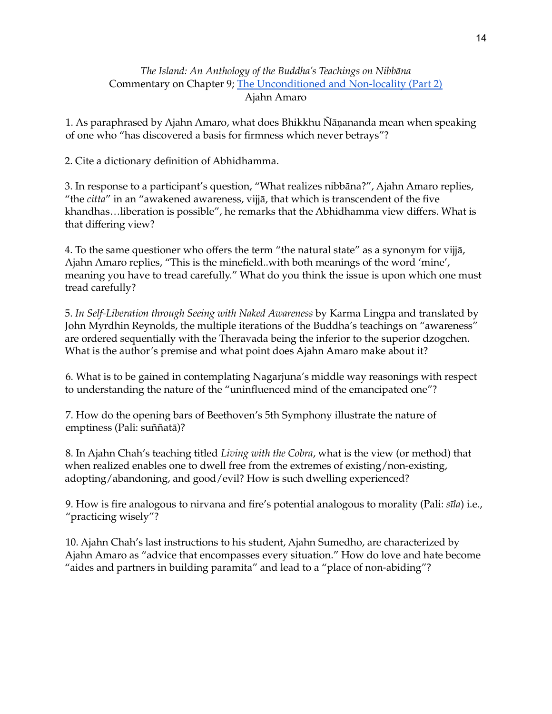## *The Island: An Anthology of the Buddha's Teachings on Nibbāna* Commentary on Chapter 9; The [Unconditioned](https://amaravati.org/audio/chapter-9-unconditioned-non-locality-part-2/) and Non-locality (Part 2) Ajahn Amaro

1. As paraphrased by Ajahn Amaro, what does Bhikkhu Ñāṇananda mean when speaking of one who "has discovered a basis for firmness which never betrays"?

2. Cite a dictionary definition of Abhidhamma.

3. In response to a participant's question, "What realizes nibbāna?", Ajahn Amaro replies, "the *citta*" in an "awakened awareness, vijjā, that which is transcendent of the five khandhas…liberation is possible", he remarks that the Abhidhamma view differs. What is that differing view?

4. To the same questioner who offers the term "the natural state" as a synonym for vijjā, Ajahn Amaro replies, "This is the minefield..with both meanings of the word 'mine', meaning you have to tread carefully." What do you think the issue is upon which one must tread carefully?

5. *In Self-Liberation through Seeing with Naked Awareness* by Karma Lingpa and translated by John Myrdhin Reynolds, the multiple iterations of the Buddha's teachings on "awareness" are ordered sequentially with the Theravada being the inferior to the superior dzogchen. What is the author's premise and what point does Ajahn Amaro make about it?

6. What is to be gained in contemplating Nagarjuna's middle way reasonings with respect to understanding the nature of the "uninfluenced mind of the emancipated one"?

7. How do the opening bars of Beethoven's 5th Symphony illustrate the nature of emptiness (Pali: suññatā)?

8. In Ajahn Chah's teaching titled *Living with the Cobra*, what is the view (or method) that when realized enables one to dwell free from the extremes of existing/non-existing, adopting/abandoning, and good/evil? How is such dwelling experienced?

9. How is fire analogous to nirvana and fire's potential analogous to morality (Pali: *sīla*) i.e., "practicing wisely"?

10. Ajahn Chah's last instructions to his student, Ajahn Sumedho, are characterized by Ajahn Amaro as "advice that encompasses every situation." How do love and hate become "aides and partners in building paramita" and lead to a "place of non-abiding"?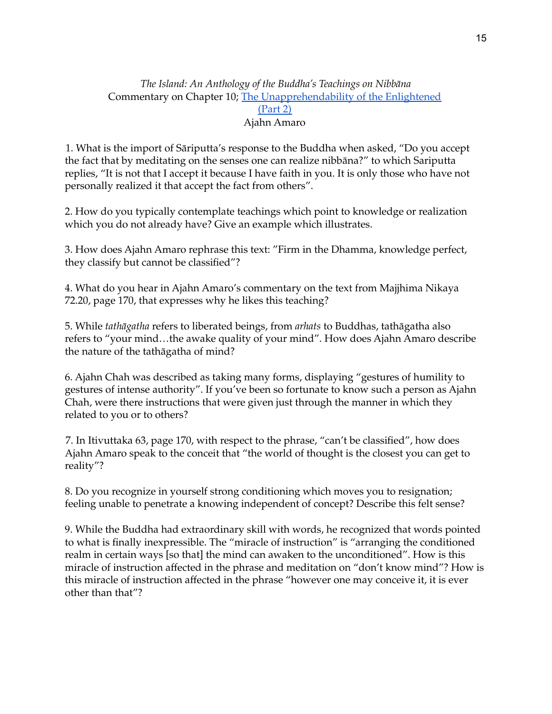## *The Island: An Anthology of the Buddha's Teachings on Nibbāna* Commentary on Chapter 10; The [Unapprehendability](https://amaravati.org/audio/chapter-10-unapprehendability-enlightened-part-2/) of the Enlightened [\(Part](https://amaravati.org/audio/chapter-10-unapprehendability-enlightened-part-2/) 2) Ajahn Amaro

1. What is the import of Sāriputta's response to the Buddha when asked, "Do you accept the fact that by meditating on the senses one can realize nibbāna?" to which Sariputta replies, "It is not that I accept it because I have faith in you. It is only those who have not personally realized it that accept the fact from others".

2. How do you typically contemplate teachings which point to knowledge or realization which you do not already have? Give an example which illustrates.

3. How does Ajahn Amaro rephrase this text: "Firm in the Dhamma, knowledge perfect, they classify but cannot be classified"?

4. What do you hear in Ajahn Amaro's commentary on the text from Majjhima Nikaya 72.20, page 170, that expresses why he likes this teaching?

5. While *tathāgatha* refers to liberated beings, from *arhats* to Buddhas, tathāgatha also refers to "your mind…the awake quality of your mind". How does Ajahn Amaro describe the nature of the tathāgatha of mind?

6. Ajahn Chah was described as taking many forms, displaying "gestures of humility to gestures of intense authority". If you've been so fortunate to know such a person as Ajahn Chah, were there instructions that were given just through the manner in which they related to you or to others?

7. In Itivuttaka 63, page 170, with respect to the phrase, "can't be classified", how does Ajahn Amaro speak to the conceit that "the world of thought is the closest you can get to reality"?

8. Do you recognize in yourself strong conditioning which moves you to resignation; feeling unable to penetrate a knowing independent of concept? Describe this felt sense?

9. While the Buddha had extraordinary skill with words, he recognized that words pointed to what is finally inexpressible. The "miracle of instruction" is "arranging the conditioned realm in certain ways [so that] the mind can awaken to the unconditioned". How is this miracle of instruction affected in the phrase and meditation on "don't know mind"? How is this miracle of instruction affected in the phrase "however one may conceive it, it is ever other than that"?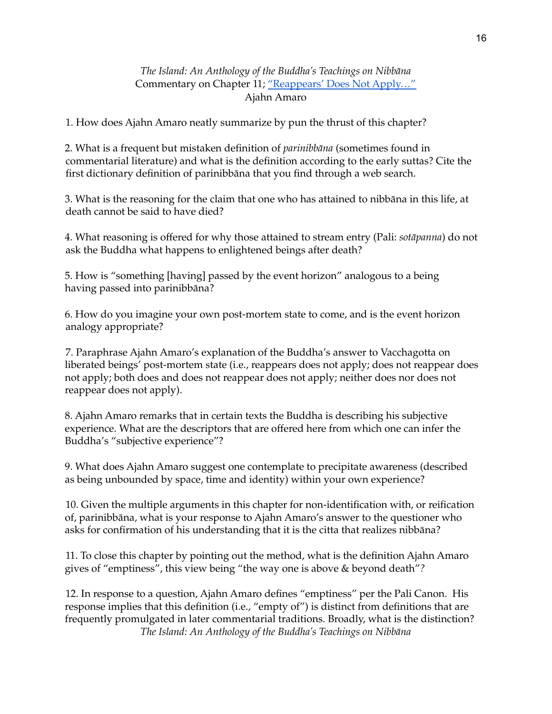#### *The Island: An Anthology of the Buddha's Teachings on Nibbāna* Commentary on Chapter 11; ["Reappears'](https://amaravati.org/audio/chapter-11-reappears-not-apply/) Does Not Apply..." Ajahn Amaro

1. How does Ajahn Amaro neatly summarize by pun the thrust of this chapter?

2. What is a frequent but mistaken definition of *parinibbāna* (sometimes found in commentarial literature) and what is the definition according to the early suttas? Cite the first dictionary definition of parinibbāna that you find through a web search.

3. What is the reasoning for the claim that one who has attained to nibbāna in this life, at death cannot be said to have died?

4. What reasoning is offered for why those attained to stream entry (Pali: *sotāpanna*) do not ask the Buddha what happens to enlightened beings after death?

5. How is "something [having] passed by the event horizon" analogous to a being having passed into parinibbāna?

6. How do you imagine your own post-mortem state to come, and is the event horizon analogy appropriate?

7. Paraphrase Ajahn Amaro's explanation of the Buddha's answer to Vacchagotta on liberated beings' post-mortem state (i.e., reappears does not apply; does not reappear does not apply; both does and does not reappear does not apply; neither does nor does not reappear does not apply).

8. Ajahn Amaro remarks that in certain texts the Buddha is describing his subjective experience. What are the descriptors that are offered here from which one can infer the Buddha's "subjective experience"?

9. What does Ajahn Amaro suggest one contemplate to precipitate awareness (described as being unbounded by space, time and identity) within your own experience?

10. Given the multiple arguments in this chapter for non-identification with, or reification of, parinibbāna, what is your response to Ajahn Amaro's answer to the questioner who asks for confirmation of his understanding that it is the citta that realizes nibbāna?

11. To close this chapter by pointing out the method, what is the definition Ajahn Amaro gives of "emptiness", this view being "the way one is above & beyond death"*?*

12. In response to a question, Ajahn Amaro defines "emptiness" per the Pali Canon. His response implies that this definition (i.e., "empty of") is distinct from definitions that are frequently promulgated in later commentarial traditions. Broadly, what is the distinction? *The Island: An Anthology of the Buddha's Teachings on Nibbāna*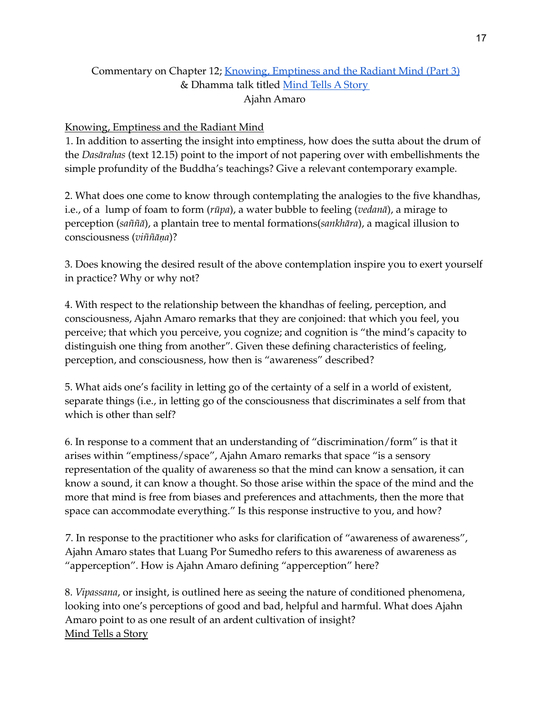## Commentary on Chapter 12; Knowing, [Emptiness](https://amaravati.org/audio/chapter-12-knowing-emptiness-radiant-mind-part-3/) and the Radiant Mind (Part 3) & Dhamma talk titled [Mind](https://amaravati.org/audio/mind-tells-a-story/) Tells A Story Ajahn Amaro

#### Knowing, Emptiness and the Radiant Mind

1. In addition to asserting the insight into emptiness, how does the sutta about the drum of the *Dasārahas* (text 12.15) point to the import of not papering over with embellishments the simple profundity of the Buddha's teachings? Give a relevant contemporary example.

2. What does one come to know through contemplating the analogies to the five khandhas, i.e., of a lump of foam to form (*rūpa*), a water bubble to feeling (*vedanā*), a mirage to perception (*saññā*), a plantain tree to mental formations(*sankhāra*), a magical illusion to consciousness (*viññāṇa*)?

3. Does knowing the desired result of the above contemplation inspire you to exert yourself in practice? Why or why not?

4. With respect to the relationship between the khandhas of feeling, perception, and consciousness, Ajahn Amaro remarks that they are conjoined: that which you feel, you perceive; that which you perceive, you cognize; and cognition is "the mind's capacity to distinguish one thing from another". Given these defining characteristics of feeling, perception, and consciousness, how then is "awareness" described?

5. What aids one's facility in letting go of the certainty of a self in a world of existent, separate things (i.e., in letting go of the consciousness that discriminates a self from that which is other than self?

6. In response to a comment that an understanding of "discrimination/form" is that it arises within "emptiness/space", Ajahn Amaro remarks that space "is a sensory representation of the quality of awareness so that the mind can know a sensation, it can know a sound, it can know a thought. So those arise within the space of the mind and the more that mind is free from biases and preferences and attachments, then the more that space can accommodate everything." Is this response instructive to you, and how?

7. In response to the practitioner who asks for clarification of "awareness of awareness", Ajahn Amaro states that Luang Por Sumedho refers to this awareness of awareness as "apperception". How is Ajahn Amaro defining "apperception" here?

8. *Vipassana*, or insight, is outlined here as seeing the nature of conditioned phenomena, looking into one's perceptions of good and bad, helpful and harmful. What does Ajahn Amaro point to as one result of an ardent cultivation of insight? Mind Tells a Story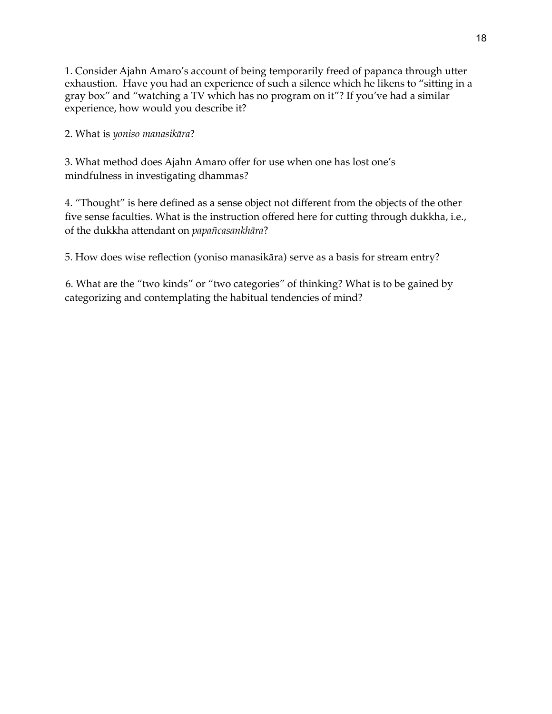1. Consider Ajahn Amaro's account of being temporarily freed of papanca through utter exhaustion. Have you had an experience of such a silence which he likens to "sitting in a gray box" and "watching a TV which has no program on it"? If you've had a similar experience, how would you describe it?

2. What is *yoniso manasikāra*?

3. What method does Ajahn Amaro offer for use when one has lost one's mindfulness in investigating dhammas?

4. "Thought" is here defined as a sense object not different from the objects of the other five sense faculties. What is the instruction offered here for cutting through dukkha, i.e., of the dukkha attendant on *papañcasankhāra*?

5. How does wise reflection (yoniso manasikāra) serve as a basis for stream entry?

6. What are the "two kinds" or "two categories" of thinking? What is to be gained by categorizing and contemplating the habitual tendencies of mind?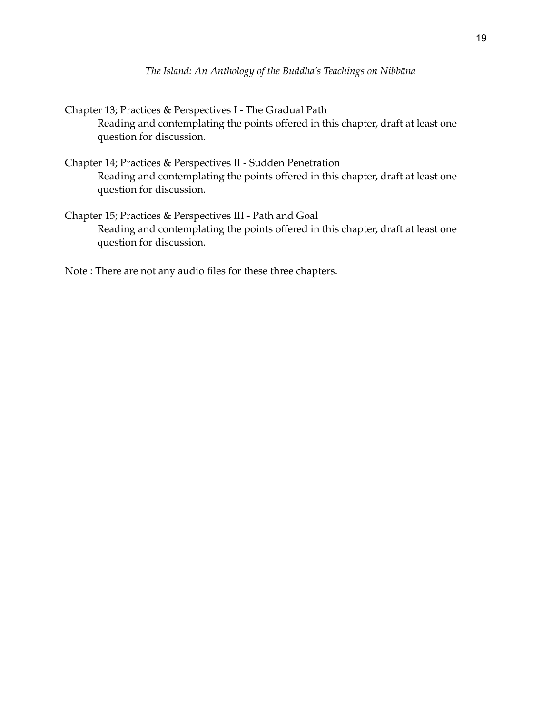```
Chapter 13; Practices & Perspectives I - The Gradual Path
Reading and contemplating the points offered in this chapter, draft at least one
question for discussion.
```
- Chapter 14; Practices & Perspectives II Sudden Penetration Reading and contemplating the points offered in this chapter, draft at least one question for discussion.
- Chapter 15; Practices & Perspectives III Path and Goal Reading and contemplating the points offered in this chapter, draft at least one question for discussion.
- Note : There are not any audio files for these three chapters.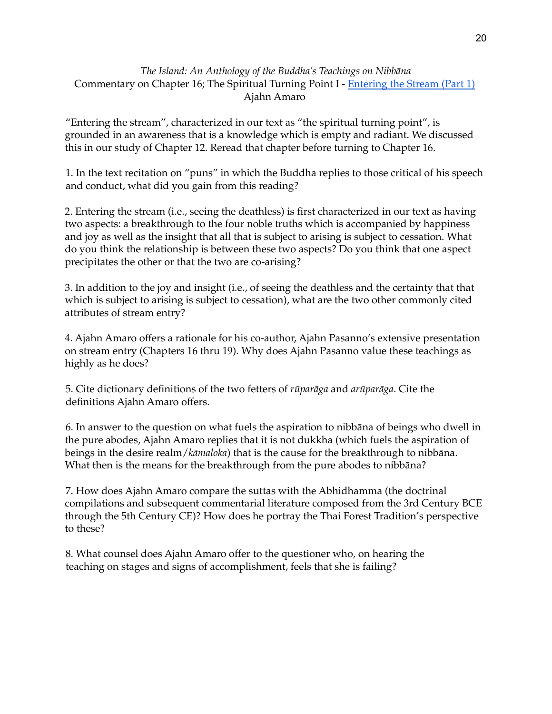#### *The Island: An Anthology of the Buddha's Teachings on Nibbāna* Commentary on Chapter 16; The Spiritual Turning Point I - [Entering](https://amaravati.org/audio/chapter-16-i-entering-stream-part-1/) the Stream (Part 1) Ajahn Amaro

"Entering the stream", characterized in our text as "the spiritual turning point", is grounded in an awareness that is a knowledge which is empty and radiant. We discussed this in our study of Chapter 12. Reread that chapter before turning to Chapter 16.

1. In the text recitation on "puns" in which the Buddha replies to those critical of his speech and conduct, what did you gain from this reading?

2. Entering the stream (i.e., seeing the deathless) is first characterized in our text as having two aspects: a breakthrough to the four noble truths which is accompanied by happiness and joy as well as the insight that all that is subject to arising is subject to cessation. What do you think the relationship is between these two aspects? Do you think that one aspect precipitates the other or that the two are co-arising?

3. In addition to the joy and insight (i.e., of seeing the deathless and the certainty that that which is subject to arising is subject to cessation), what are the two other commonly cited attributes of stream entry?

4. Ajahn Amaro offers a rationale for his co-author, Ajahn Pasanno's extensive presentation on stream entry (Chapters 16 thru 19). Why does Ajahn Pasanno value these teachings as highly as he does?

5. Cite dictionary definitions of the two fetters of *rūparāga* and *arūparāga*. Cite the definitions Ajahn Amaro offers.

6. In answer to the question on what fuels the aspiration to nibbāna of beings who dwell in the pure abodes, Ajahn Amaro replies that it is not dukkha (which fuels the aspiration of beings in the desire realm/*kāmaloka*) that is the cause for the breakthrough to nibbāna. What then is the means for the breakthrough from the pure abodes to nibbāna?

7. How does Ajahn Amaro compare the suttas with the Abhidhamma (the doctrinal compilations and subsequent commentarial literature composed from the 3rd Century BCE through the 5th Century CE)? How does he portray the Thai Forest Tradition's perspective to these?

8. What counsel does Ajahn Amaro offer to the questioner who, on hearing the teaching on stages and signs of accomplishment, feels that she is failing?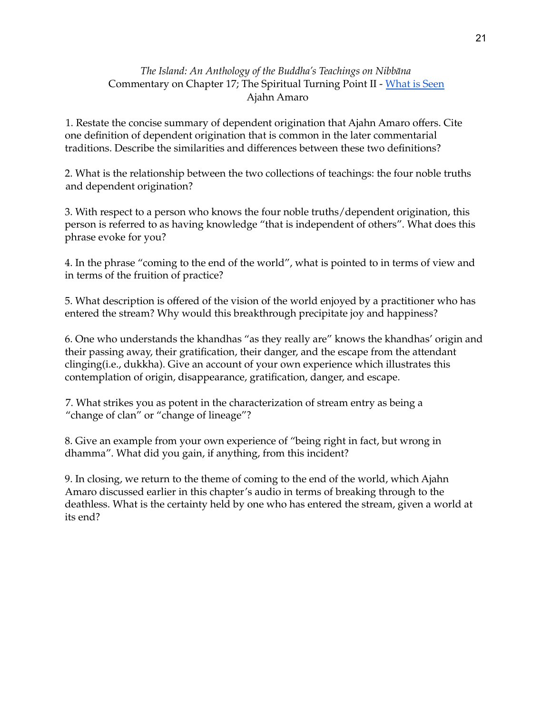## *The Island: An Anthology of the Buddha's Teachings on Nibbāna* Commentary on Chapter 17; The Spiritual Turning Point II - [What](https://amaravati.org/audio/chapter-17-ii-what-is-seen/) is Seen Ajahn Amaro

1. Restate the concise summary of dependent origination that Ajahn Amaro offers. Cite one definition of dependent origination that is common in the later commentarial traditions. Describe the similarities and differences between these two definitions?

2. What is the relationship between the two collections of teachings: the four noble truths and dependent origination?

3. With respect to a person who knows the four noble truths/dependent origination, this person is referred to as having knowledge "that is independent of others". What does this phrase evoke for you?

4. In the phrase "coming to the end of the world", what is pointed to in terms of view and in terms of the fruition of practice?

5. What description is offered of the vision of the world enjoyed by a practitioner who has entered the stream? Why would this breakthrough precipitate joy and happiness?

6. One who understands the khandhas "as they really are" knows the khandhas' origin and their passing away, their gratification, their danger, and the escape from the attendant clinging(i.e., dukkha). Give an account of your own experience which illustrates this contemplation of origin, disappearance, gratification, danger, and escape.

7. What strikes you as potent in the characterization of stream entry as being a "change of clan" or "change of lineage"?

8. Give an example from your own experience of "being right in fact, but wrong in dhamma". What did you gain, if anything, from this incident?

9. In closing, we return to the theme of coming to the end of the world, which Ajahn Amaro discussed earlier in this chapter's audio in terms of breaking through to the deathless. What is the certainty held by one who has entered the stream, given a world at its end?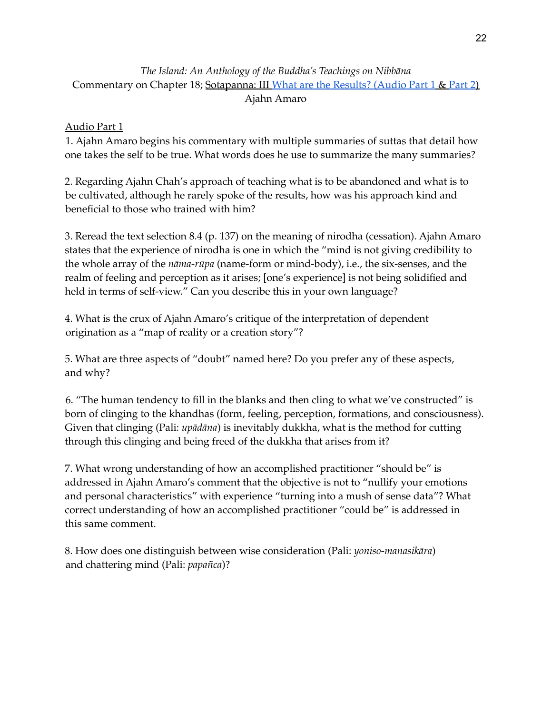# *The Island: An Anthology of the Buddha's Teachings on Nibbāna* Commentary on Chapter 18; Sotapanna: III What are the [Results?](https://amaravati.org/audio/chapter-18-ii-what-are-the-results-part-1/) (Audio [Part](https://amaravati.org/audio/chapter-18-ii-what-are-the-results-part-2/) 1 & Part 2) Ajahn Amaro

## Audio Part 1

1. Ajahn Amaro begins his commentary with multiple summaries of suttas that detail how one takes the self to be true. What words does he use to summarize the many summaries?

2. Regarding Ajahn Chah's approach of teaching what is to be abandoned and what is to be cultivated, although he rarely spoke of the results, how was his approach kind and beneficial to those who trained with him?

3. Reread the text selection 8.4 (p. 137) on the meaning of nirodha (cessation). Ajahn Amaro states that the experience of nirodha is one in which the "mind is not giving credibility to the whole array of the *nāma-rūpa* (name-form or mind-body), i.e., the six-senses, and the realm of feeling and perception as it arises; [one's experience] is not being solidified and held in terms of self-view." Can you describe this in your own language?

4. What is the crux of Ajahn Amaro's critique of the interpretation of dependent origination as a "map of reality or a creation story"?

5. What are three aspects of "doubt" named here? Do you prefer any of these aspects, and why?

6. "The human tendency to fill in the blanks and then cling to what we've constructed" is born of clinging to the khandhas (form, feeling, perception, formations, and consciousness). Given that clinging (Pali: *upādāna*) is inevitably dukkha, what is the method for cutting through this clinging and being freed of the dukkha that arises from it?

7. What wrong understanding of how an accomplished practitioner "should be" is addressed in Ajahn Amaro's comment that the objective is not to "nullify your emotions and personal characteristics" with experience "turning into a mush of sense data"? What correct understanding of how an accomplished practitioner "could be" is addressed in this same comment.

8. How does one distinguish between wise consideration (Pali: *yoniso-manasikāra*) and chattering mind (Pali: *papañca*)?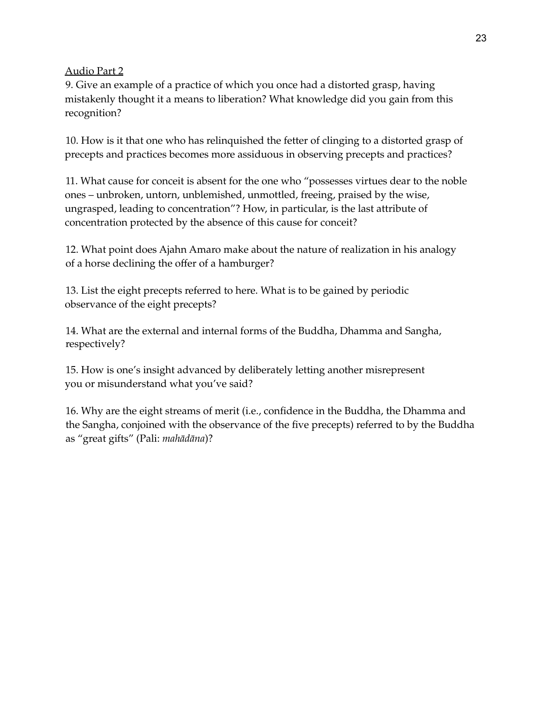Audio Part 2

9. Give an example of a practice of which you once had a distorted grasp, having mistakenly thought it a means to liberation? What knowledge did you gain from this recognition?

10. How is it that one who has relinquished the fetter of clinging to a distorted grasp of precepts and practices becomes more assiduous in observing precepts and practices?

11. What cause for conceit is absent for the one who "possesses virtues dear to the noble ones – unbroken, untorn, unblemished, unmottled, freeing, praised by the wise, ungrasped, leading to concentration"? How, in particular, is the last attribute of concentration protected by the absence of this cause for conceit?

12. What point does Ajahn Amaro make about the nature of realization in his analogy of a horse declining the offer of a hamburger?

13. List the eight precepts referred to here. What is to be gained by periodic observance of the eight precepts?

14. What are the external and internal forms of the Buddha, Dhamma and Sangha, respectively?

15. How is one's insight advanced by deliberately letting another misrepresent you or misunderstand what you've said?

16. Why are the eight streams of merit (i.e., confidence in the Buddha, the Dhamma and the Sangha, conjoined with the observance of the five precepts) referred to by the Buddha as "great gifts" (Pali: *mahādāna*)?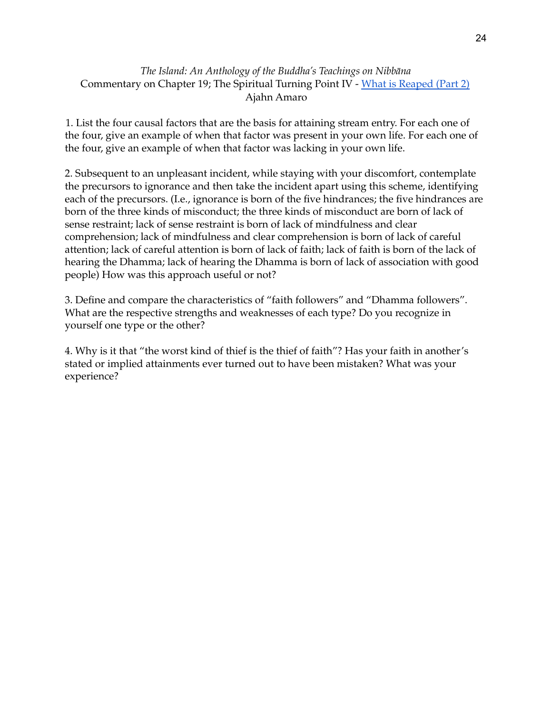## *The Island: An Anthology of the Buddha's Teachings on Nibbāna* Commentary on Chapter 19; The Spiritual Turning Point IV - What is [Reaped](https://amaravati.org/audio/chapter-19-iv-what-is-reaped-part-2/) (Part 2) Ajahn Amaro

1. List the four causal factors that are the basis for attaining stream entry. For each one of the four, give an example of when that factor was present in your own life. For each one of the four, give an example of when that factor was lacking in your own life.

2. Subsequent to an unpleasant incident, while staying with your discomfort, contemplate the precursors to ignorance and then take the incident apart using this scheme, identifying each of the precursors. (I.e., ignorance is born of the five hindrances; the five hindrances are born of the three kinds of misconduct; the three kinds of misconduct are born of lack of sense restraint; lack of sense restraint is born of lack of mindfulness and clear comprehension; lack of mindfulness and clear comprehension is born of lack of careful attention; lack of careful attention is born of lack of faith; lack of faith is born of the lack of hearing the Dhamma; lack of hearing the Dhamma is born of lack of association with good people) How was this approach useful or not?

3. Define and compare the characteristics of "faith followers" and "Dhamma followers". What are the respective strengths and weaknesses of each type? Do you recognize in yourself one type or the other?

4. Why is it that "the worst kind of thief is the thief of faith"? Has your faith in another's stated or implied attainments ever turned out to have been mistaken? What was your experience?